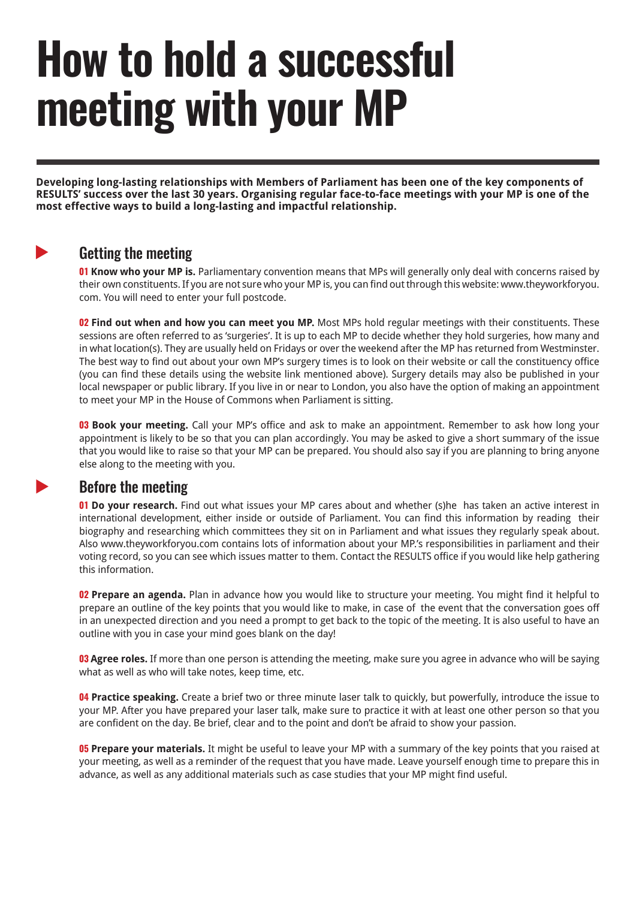# **How to hold a successful meeting with your MP**

**Developing long-lasting relationships with Members of Parliament has been one of the key components of RESULTS' success over the last 30 years. Organising regular face-to-face meetings with your MP is one of the most effective ways to build a long-lasting and impactful relationship.**

## $\blacktriangleright$

 $\blacktriangleright$ 

#### Getting the meeting

**01 Know who your MP is.** Parliamentary convention means that MPs will generally only deal with concerns raised by their own constituents. If you are not sure who your MP is, you can find out through this website: www.theyworkforyou. com. You will need to enter your full postcode.

**02 Find out when and how you can meet you MP.** Most MPs hold regular meetings with their constituents. These sessions are often referred to as 'surgeries'. It is up to each MP to decide whether they hold surgeries, how many and in what location(s). They are usually held on Fridays or over the weekend after the MP has returned from Westminster. The best way to find out about your own MP's surgery times is to look on their website or call the constituency office (you can find these details using the website link mentioned above). Surgery details may also be published in your local newspaper or public library. If you live in or near to London, you also have the option of making an appointment to meet your MP in the House of Commons when Parliament is sitting.

**03 Book your meeting.** Call your MP's office and ask to make an appointment. Remember to ask how long your appointment is likely to be so that you can plan accordingly. You may be asked to give a short summary of the issue that you would like to raise so that your MP can be prepared. You should also say if you are planning to bring anyone else along to the meeting with you.

### Before the meeting

**01 Do your research.** Find out what issues your MP cares about and whether (s)he has taken an active interest in international development, either inside or outside of Parliament. You can find this information by reading their biography and researching which committees they sit on in Parliament and what issues they regularly speak about. Also www.theyworkforyou.com contains lots of information about your MP.'s responsibilities in parliament and their voting record, so you can see which issues matter to them. Contact the RESULTS office if you would like help gathering this information.

**02 Prepare an agenda.** Plan in advance how you would like to structure your meeting. You might find it helpful to prepare an outline of the key points that you would like to make, in case of the event that the conversation goes off in an unexpected direction and you need a prompt to get back to the topic of the meeting. It is also useful to have an outline with you in case your mind goes blank on the day!

**03 Agree roles.** If more than one person is attending the meeting, make sure you agree in advance who will be saying what as well as who will take notes, keep time, etc.

**04 Practice speaking.** Create a brief two or three minute laser talk to quickly, but powerfully, introduce the issue to your MP. After you have prepared your laser talk, make sure to practice it with at least one other person so that you are confident on the day. Be brief, clear and to the point and don't be afraid to show your passion.

**05 Prepare your materials.** It might be useful to leave your MP with a summary of the key points that you raised at your meeting, as well as a reminder of the request that you have made. Leave yourself enough time to prepare this in advance, as well as any additional materials such as case studies that your MP might find useful.